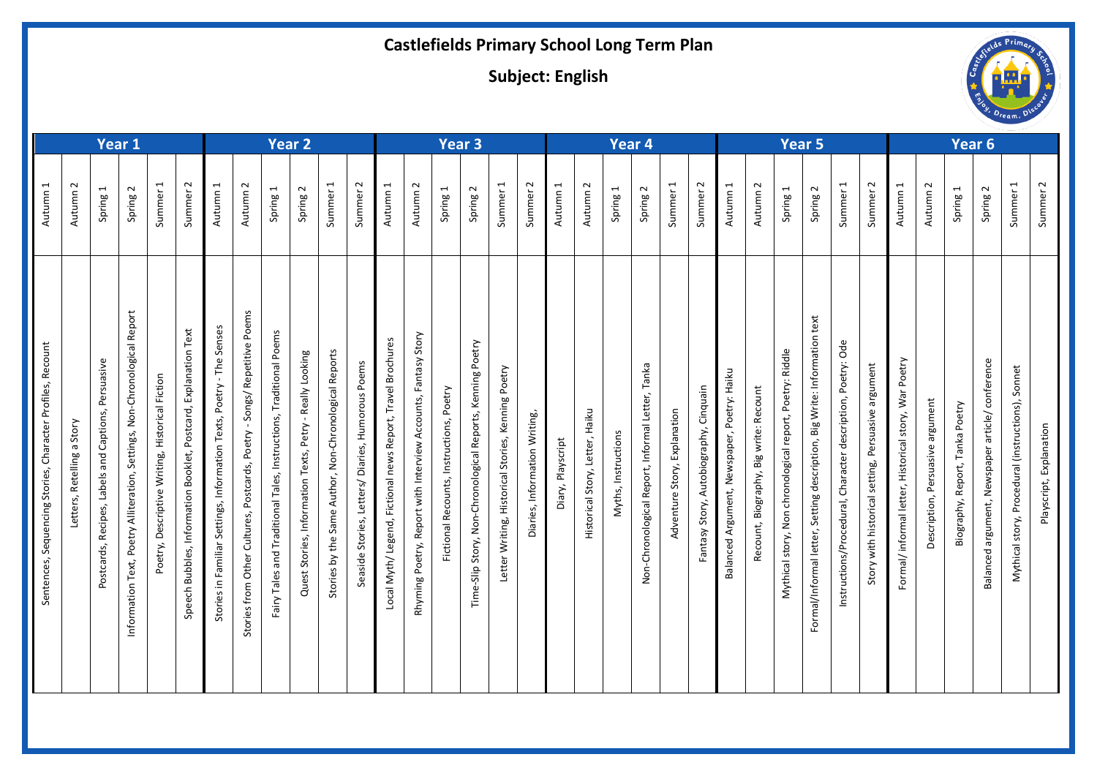## **Castlefields Primary School Long Term Plan**

**Subject: English**

| Year 1                                                                     |                                    |                                                                    |                                                                                           |                                                    |                                                                          | Year 2                                                                        |                                                                                                 |                                                                                    |                                                                       |                                                                   |                                                                    | Year <sub>3</sub>                                                                    |                                                                             |                                                 |                                                                |                                                                     | Year 4                       |                                    |                                          |                                    |                                                                   | Year 5                                        |                                                                           |                                                                                |                                                             |                                                                                                     |                                                                                   | Year 6                                                                   |                                                                 |                                                                    |                                              |                                          |                                                           |                                                            |                         |
|----------------------------------------------------------------------------|------------------------------------|--------------------------------------------------------------------|-------------------------------------------------------------------------------------------|----------------------------------------------------|--------------------------------------------------------------------------|-------------------------------------------------------------------------------|-------------------------------------------------------------------------------------------------|------------------------------------------------------------------------------------|-----------------------------------------------------------------------|-------------------------------------------------------------------|--------------------------------------------------------------------|--------------------------------------------------------------------------------------|-----------------------------------------------------------------------------|-------------------------------------------------|----------------------------------------------------------------|---------------------------------------------------------------------|------------------------------|------------------------------------|------------------------------------------|------------------------------------|-------------------------------------------------------------------|-----------------------------------------------|---------------------------------------------------------------------------|--------------------------------------------------------------------------------|-------------------------------------------------------------|-----------------------------------------------------------------------------------------------------|-----------------------------------------------------------------------------------|--------------------------------------------------------------------------|-----------------------------------------------------------------|--------------------------------------------------------------------|----------------------------------------------|------------------------------------------|-----------------------------------------------------------|------------------------------------------------------------|-------------------------|
| $\overline{ }$<br>Autumn                                                   | $\sim$<br>Autumn                   | $\blacktriangleleft$<br>Spring                                     | $\sim$<br>Spring                                                                          | $\blacktriangleleft$<br>Summer                     | $\sim$<br>Summer                                                         | $\blacktriangleleft$<br>Autumn                                                | $\sim$<br>Autumn                                                                                | $\overline{\phantom{0}}$<br>Spring                                                 | $\sim$<br>Spring                                                      | $\blacktriangleleft$<br>Summer                                    | $\sim$<br>Summer                                                   | $\blacktriangleleft$<br>Autumn                                                       | $\sim$<br>Autumn                                                            | $\overline{\phantom{0}}$<br>Spring              | $\sim$<br>Spring                                               | $\overline{\phantom{0}}$<br>Summer                                  | $\sim$<br>Summer             | $\overline{\phantom{0}}$<br>Autumn | $\sim$<br>Autumn                         | $\overline{\phantom{0}}$<br>Spring | $\sim$<br>Spring                                                  | $\overline{\phantom{0}}$<br>Summer            | $\sim$<br>Summer                                                          | $\mathbf{\mathbf{t}}$<br>Autumn                                                | $\sim$<br>Autumn                                            | $\overline{ }$<br>Spring                                                                            | $\sim$<br>Spring                                                                  | $\overline{\phantom{0}}$<br>Summer                                       | $\sim$<br>Summer                                                | $\overline{\phantom{0}}$<br>Autumn                                 | $\sim$<br>Autumn                             | $\overline{\phantom{0}}$<br>Spring       | $\sim$<br>Spring                                          | $\overline{\phantom{0}}$<br>Summer                         | $\sim$<br>Summer        |
| Recount<br>Profiles,<br>Character<br>Stories,<br>quencing<br>Sentences, Se | Stor<br>ω<br>Retelling<br>Letters, | Persuasive<br>Captions,<br>and<br>Labels<br>Recipes,<br>Postcards, | Report<br>Non-Chronological<br>Settings,<br>Alliteration,<br>etry<br>Information Text, Po | Descriptive Writing, Historical Fiction<br>Poetry, | Text<br>Postcard, Explanation<br>Information Booklet,<br>Speech Bubbles, | Senses<br>The<br>Poetry<br>Settings, Information Texts,<br>Stories in Familia | n<br>em<br>Q<br>Repetitive<br>Songs/<br>Poetry<br>Postcards,<br>යි<br>Stories from Other Cultur | Poems<br>Traditional<br>Instructions,<br>Tales,<br>raditional<br>Fairy Tales and T | Looking<br>Really<br>Petry<br>Texts,<br>Information<br>Quest Stories, | Reports<br>Non-Chronological<br>Author,<br>Same<br>Stories by the | Poems<br>Humorous<br>Diaries,<br>Letters/<br>tories,<br>Seaside St | <b>Brochures</b><br>Travel<br>Report,<br>news<br>Fictional<br>gend,<br>Local Myth/Le | Story<br>Fantasy<br>Accounts,<br>with Interview<br>Report<br>Rhyming Poetry | Poetry<br>onal Recounts, Instructions,<br>Ficti | y, Non-Chronological Reports, Kenning Poetry<br>Time-Slip Stor | oetry<br>௨<br>Kenning<br>Historical Stories,<br>riting,<br>Letter W | Diaries, Information Writing | Playscript<br>Diary,               | Haiku<br>Letter,<br>Story,<br>Historical | Instructions<br>Myths,             | Tanka<br>Letter,<br>Informal<br>Report,<br>Isological<br>Non-Chro | Explanatio<br>Story,<br>enture<br>$\geq$<br>Ŕ | ain<br>Cinqui<br><b>Ayde</b><br>Autobiogr<br>Story,<br><b>Ase</b><br>Fant | Haiku<br>etry<br><u>o</u><br>Newspaper<br>ent,<br>Argum<br>$\sigma$<br>Balance | count<br>ē,<br>write:<br>Big<br>aphy,<br>Biogra<br>Recount, | Riddle<br>Poetry:<br>report,<br>chronological<br>$\sum_{i=1}^{n}$<br>$\dot{\Sigma}$<br>Mythical sto | text<br>Big Write: Information<br>Setting description,<br>Formal/Informal letter, | Ode<br>Poetry:<br>Character description,<br>rocedural,<br>Instructions/P | argument<br>Persuasive<br>setting,<br>h historical<br>Story wit | Poetry<br>War<br>story,<br>formal letter, Historical<br>Formal/ in | Persuasive argument<br>escription,<br>$\Box$ | Poetry<br>Tanka<br>Report,<br>Biography, | conference<br>article/<br>Newspaper<br>Balanced argument, | Sonnet<br>Procedural (instructions),<br>story,<br>Mythical | Playscript, Explanation |